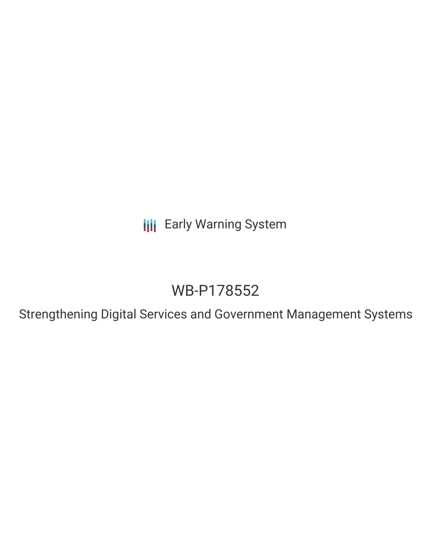**III** Early Warning System

# WB-P178552

Strengthening Digital Services and Government Management Systems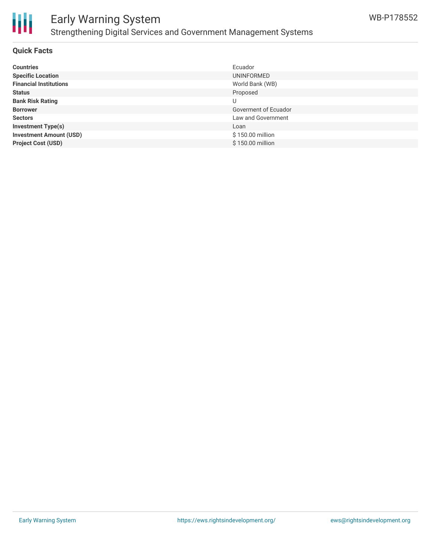

# Early Warning System Strengthening Digital Services and Government Management Systems

#### **Quick Facts**

| <b>Countries</b>               | Ecuador              |
|--------------------------------|----------------------|
| <b>Specific Location</b>       | UNINFORMED           |
| <b>Financial Institutions</b>  | World Bank (WB)      |
| <b>Status</b>                  | Proposed             |
| <b>Bank Risk Rating</b>        | U                    |
| <b>Borrower</b>                | Goverment of Ecuador |
| <b>Sectors</b>                 | Law and Government   |
| <b>Investment Type(s)</b>      | Loan                 |
| <b>Investment Amount (USD)</b> | \$150.00 million     |
| <b>Project Cost (USD)</b>      | \$150.00 million     |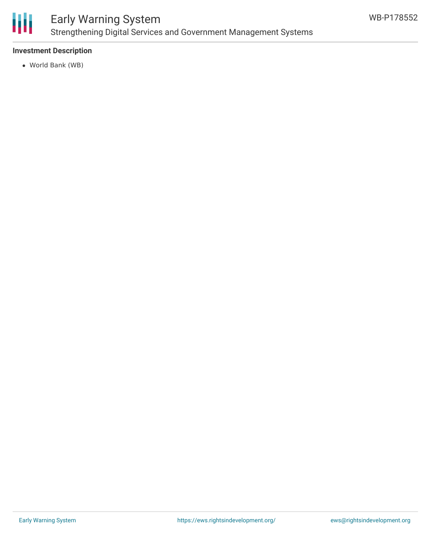

## **Investment Description**

World Bank (WB)